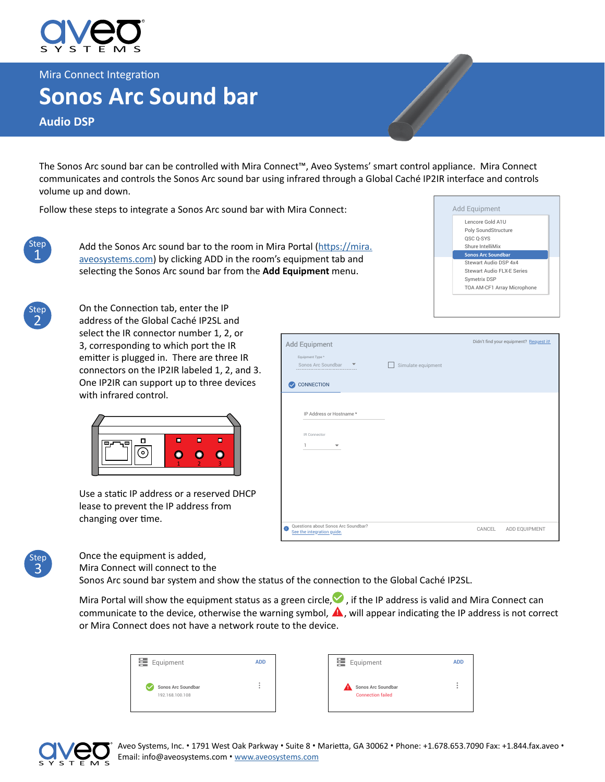

Mira Connect Integration

## **Sonos Arc Sound bar**

**Audio DSP**

The Sonos Arc sound bar can be controlled with Mira Connect™, Aveo Systems' smart control appliance. Mira Connect communicates and controls the Sonos Arc sound bar using infrared through a Global Caché IP2IR interface and controls volume up and down.

Follow these steps to integrate a Sonos Arc sound bar with Mira Connect:



Add the Sonos Arc sound bar to the room in Mira Portal ([https://mira.](https://mira.aveosystems.com) [aveosystems.com](https://mira.aveosystems.com)) by clicking ADD in the room's equipment tab and selecting the Sonos Arc sound bar from the **Add Equipment** menu.





On the Connection tab, enter the IP address of the Global Caché IP2SL and select the IR connector number 1, 2, or 3, corresponding to which port the IR emitter is plugged in. There are three IR connectors on the IP2IR labeled 1, 2, and 3. One IP2IR can support up to three devices with infrared control.



Use a static IP address or a reserved DHCP lease to prevent the IP address from changing over time.





Once the equipment is added, Mira Connect will connect to the

Sonos Arc sound bar system and show the status of the connection to the Global Caché IP2SL.

Mira Portal will show the equipment status as a green circle,  $\blacktriangledown$ , if the IP address is valid and Mira Connect can communicate to the device, otherwise the warning symbol,  $\triangle$ , will appear indicating the IP address is not correct or Mira Connect does not have a network route to the device.

| Equipment                             | <b>ADD</b> |
|---------------------------------------|------------|
| Sonos Arc Soundbar<br>192.168.100.108 |            |